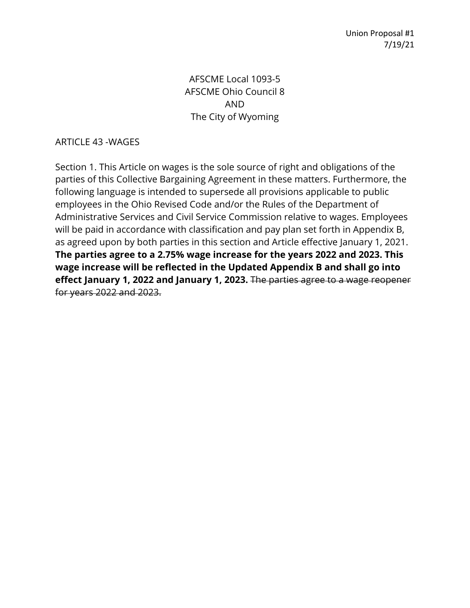Union Proposal #1 7/19/21

### AFSCME Local 1093-5 AFSCME Ohio Council 8 AND The City of Wyoming

#### ARTICLE 43 -WAGES

Section 1. This Article on wages is the sole source of right and obligations of the parties of this Collective Bargaining Agreement in these matters. Furthermore, the following language is intended to supersede all provisions applicable to public employees in the Ohio Revised Code and/or the Rules of the Department of Administrative Services and Civil Service Commission relative to wages. Employees will be paid in accordance with classification and pay plan set forth in Appendix B, as agreed upon by both parties in this section and Article effective January 1, 2021. **The parties agree to a 2.75% wage increase for the years 2022 and 2023. This wage increase will be reflected in the Updated Appendix B and shall go into effect January 1, 2022 and January 1, 2023.** The parties agree to a wage reopener for years 2022 and 2023.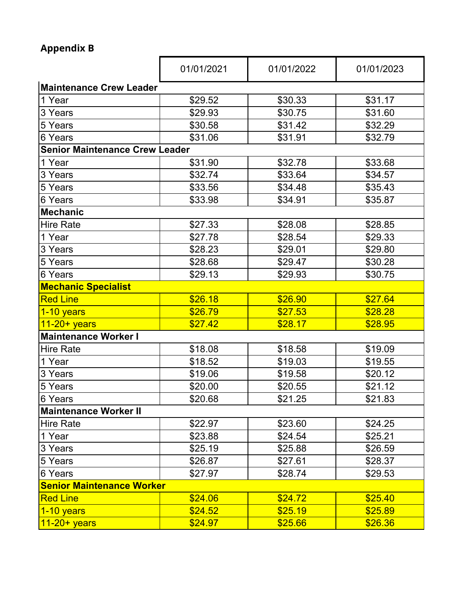# **Appendix B**

|                                       | 01/01/2021 | 01/01/2022 | 01/01/2023 |
|---------------------------------------|------------|------------|------------|
| <b>Maintenance Crew Leader</b>        |            |            |            |
| 1 Year                                | \$29.52    | \$30.33    | \$31.17    |
| 3 Years                               | \$29.93    | \$30.75    | \$31.60    |
| 5 Years                               | \$30.58    | \$31.42    | \$32.29    |
| 6 Years                               | \$31.06    | \$31.91    | \$32.79    |
| <b>Senior Maintenance Crew Leader</b> |            |            |            |
| 1 Year                                | \$31.90    | \$32.78    | \$33.68    |
| 3 Years                               | \$32.74    | \$33.64    | \$34.57    |
| 5 Years                               | \$33.56    | \$34.48    | \$35.43    |
| 6 Years                               | \$33.98    | \$34.91    | \$35.87    |
| <b>Mechanic</b>                       |            |            |            |
| <b>Hire Rate</b>                      | \$27.33    | \$28.08    | \$28.85    |
| 1 Year                                | \$27.78    | \$28.54    | \$29.33    |
| 3 Years                               | \$28.23    | \$29.01    | \$29.80    |
| 5 Years                               | \$28.68    | \$29.47    | \$30.28    |
| 6 Years                               | \$29.13    | \$29.93    | \$30.75    |
| <b>Mechanic Specialist</b>            |            |            |            |
| <b>Red Line</b>                       | \$26.18    | \$26.90    | \$27.64    |
| 1-10 years                            | \$26.79    | \$27.53    | \$28.28    |
| $11-20+years$                         | \$27.42    | \$28.17    | \$28.95    |
| <b>Maintenance Worker I</b>           |            |            |            |
| <b>Hire Rate</b>                      | \$18.08    | \$18.58    | \$19.09    |
| 1 Year                                | \$18.52    | \$19.03    | \$19.55    |
| 3 Years                               | \$19.06    | \$19.58    | \$20.12    |
| 5 Years                               | \$20.00    | \$20.55    | \$21.12    |
| 6 Years                               | \$20.68    | \$21.25    | \$21.83    |
| <b>Maintenance Worker II</b>          |            |            |            |
| <b>Hire Rate</b>                      | \$22.97    | \$23.60    | \$24.25    |
| 1 Year                                | \$23.88    | \$24.54    | \$25.21    |
| 3 Years                               | \$25.19    | \$25.88    | \$26.59    |
| 5 Years                               | \$26.87    | \$27.61    | \$28.37    |
| 6 Years                               | \$27.97    | \$28.74    | \$29.53    |
| <b>Senior Maintenance Worker</b>      |            |            |            |
| <b>Red Line</b>                       | \$24.06    | \$24.72    | \$25.40    |
| $1 - 10$ years                        | \$24.52    | \$25.19    | \$25.89    |
| $11-20+$ years                        | \$24.97    | \$25.66    | \$26.36    |